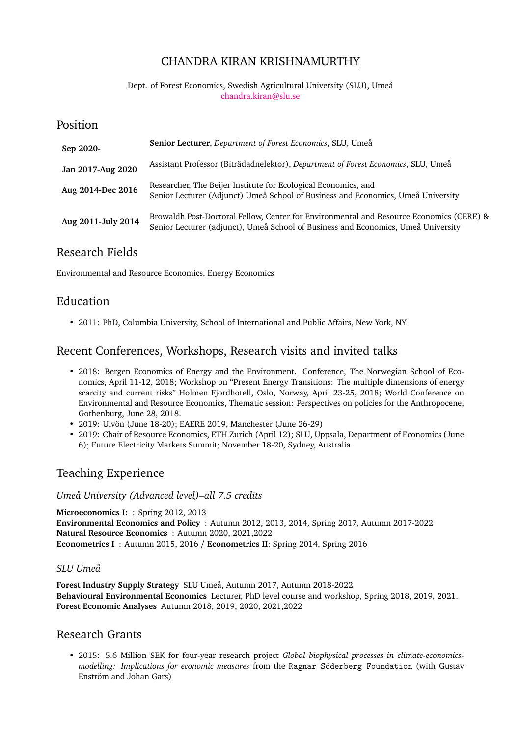## CHANDRA KIRAN KRISHNAMURTHY

#### Dept. of Forest Economics, Swedish Agricultural University (SLU), Umeå [chandra.kiran@slu.se](mailto:chandra.kiran@slu.se)

### Position

| Sep 2020-          | Senior Lecturer, Department of Forest Economics, SLU, Umeå                                                                                                                   |
|--------------------|------------------------------------------------------------------------------------------------------------------------------------------------------------------------------|
| Jan 2017-Aug 2020  | Assistant Professor (Biträdadnelektor), Department of Forest Economics, SLU, Umeå                                                                                            |
| Aug 2014-Dec 2016  | Researcher, The Beijer Institute for Ecological Economics, and<br>Senior Lecturer (Adjunct) Umeå School of Business and Economics, Umeå University                           |
| Aug 2011-July 2014 | Browaldh Post-Doctoral Fellow, Center for Environmental and Resource Economics (CERE) &<br>Senior Lecturer (adjunct), Umeå School of Business and Economics, Umeå University |

## Research Fields

Environmental and Resource Economics, Energy Economics

## Education

• 2011: PhD, Columbia University, School of International and Public Affairs, New York, NY

## Recent Conferences, Workshops, Research visits and invited talks

- 2018: Bergen Economics of Energy and the Environment. Conference, The Norwegian School of Economics, April 11-12, 2018; Workshop on "Present Energy Transitions: The multiple dimensions of energy scarcity and current risks" Holmen Fjordhotell, Oslo, Norway, April 23-25, 2018; World Conference on Environmental and Resource Economics, Thematic session: Perspectives on policies for the Anthropocene, Gothenburg, June 28, 2018.
- 2019: Ulvön (June 18-20); EAERE 2019, Manchester (June 26-29)
- 2019: Chair of Resource Economics, ETH Zurich (April 12); SLU, Uppsala, Department of Economics (June 6); Future Electricity Markets Summit; November 18-20, Sydney, Australia

# Teaching Experience

*Umeå University (Advanced level)–all 7.5 credits*

**Microeconomics I:** : Spring 2012, 2013 **Environmental Economics and Policy** : Autumn 2012, 2013, 2014, Spring 2017, Autumn 2017-2022 **Natural Resource Economics** : Autumn 2020, 2021,2022 **Econometrics I** : Autumn 2015, 2016 / **Econometrics II**: Spring 2014, Spring 2016

### *SLU Umeå*

**Forest Industry Supply Strategy** SLU Umeå, Autumn 2017, Autumn 2018-2022 **Behavioural Environmental Economics** Lecturer, PhD level course and workshop, Spring 2018, 2019, 2021. **Forest Economic Analyses** Autumn 2018, 2019, 2020, 2021,2022

# Research Grants

• 2015: 5.6 Million SEK for four-year research project *Global biophysical processes in climate-economicsmodelling: Implications for economic measures* from the Ragnar Söderberg Foundation (with Gustav Enström and Johan Gars)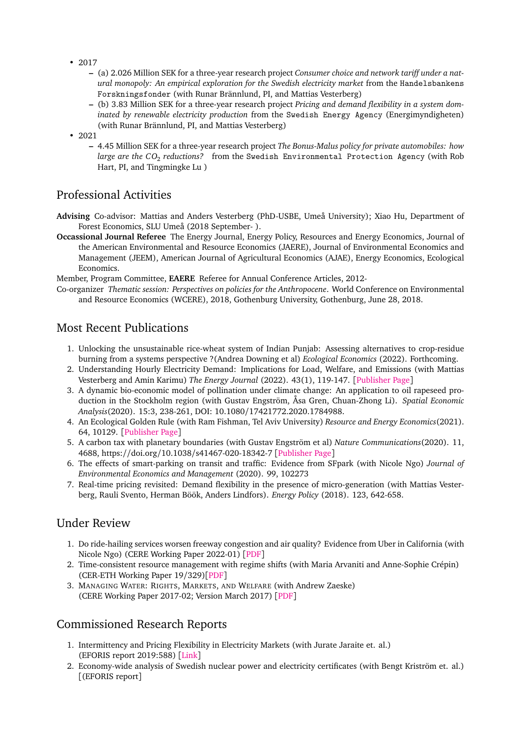- 2017
	- **–** (a) 2.026 Million SEK for a three-year research project *Consumer choice and network tariff under a natural monopoly: An empirical exploration for the Swedish electricity market* from the Handelsbankens Forskningsfonder (with Runar Brännlund, PI, and Mattias Vesterberg)
	- **–** (b) 3.83 Million SEK for a three-year research project *Pricing and demand flexibility in a system dominated by renewable electricity production* from the Swedish Energy Agency (Energimyndigheten) (with Runar Brännlund, PI, and Mattias Vesterberg)
- 2021
	- **–** 4.45 Million SEK for a three-year research project *The Bonus-Malus policy for private automobiles: how large are the CO*<sup>2</sup> *reductions?* from the Swedish Environmental Protection Agency (with Rob Hart, PI, and Tingmingke Lu )

## Professional Activities

- **Advising** Co-advisor: Mattias and Anders Vesterberg (PhD-USBE, Umeå University); Xiao Hu, Department of Forest Economics, SLU Umeå (2018 September- ).
- **Occassional Journal Referee** The Energy Journal, Energy Policy, Resources and Energy Economics, Journal of the American Environmental and Resource Economics (JAERE), Journal of Environmental Economics and Management (JEEM), American Journal of Agricultural Economics (AJAE), Energy Economics, Ecological Economics.

Member, Program Committee, **EAERE** Referee for Annual Conference Articles, 2012-

Co-organizer *Thematic session: Perspectives on policies for the Anthropocene*. World Conference on Environmental and Resource Economics (WCERE), 2018, Gothenburg University, Gothenburg, June 28, 2018.

## Most Recent Publications

- 1. Unlocking the unsustainable rice-wheat system of Indian Punjab: Assessing alternatives to crop-residue burning from a systems perspective ?(Andrea Downing et al) *Ecological Economics* (2022). Forthcoming.
- 2. Understanding Hourly Electricity Demand: Implications for Load, Welfare, and Emissions (with Mattias Vesterberg and Amin Karimu) *The Energy Journal* (2022). 43(1), 119-147. [[Publisher Page](https://www.iaee.org/energyjournal/article/3781)]
- 3. A dynamic bio-economic model of pollination under climate change: An application to oil rapeseed production in the Stockholm region (with Gustav Engström, Åsa Gren, Chuan-Zhong Li). *Spatial Economic Analysis*(2020). 15:3, 238-261, DOI: 10.1080/17421772.2020.1784988.
- 4. An Ecological Golden Rule (with Ram Fishman, Tel Aviv University) *Resource and Energy Economics*(2021). 64, 10129. [[Publisher Page](https://www.sciencedirect.com/science/article/pii/S092876552100004X?dgcid=rss_sd_all)]
- 5. A carbon tax with planetary boundaries (with Gustav Engström et al) *Nature Communications*(2020). 11, 4688, https://doi.org/10.1038/s41467-020-18342-7 [[Publisher Page](https://www.nature.com/articles/s41467-020-18342-7)]
- 6. The effects of smart-parking on transit and traffic: Evidence from SFpark (with Nicole Ngo) *Journal of Environmental Economics and Management* (2020). 99, 102273
- 7. Real-time pricing revisited: Demand flexibility in the presence of micro-generation (with Mattias Vesterberg, Rauli Svento, Herman Böök, Anders Lindfors). *Energy Policy* (2018). 123, 642-658.

## Under Review

- 1. Do ride-hailing services worsen freeway congestion and air quality? Evidence from Uber in California (with Nicole Ngo) (CERE Working Paper 2022-01) [[PDF](https://papers.ssrn.com/sol3/papers.cfm?abstract_id=4022570)]
- 2. Time-consistent resource management with regime shifts (with Maria Arvaniti and Anne-Sophie Crépin) (CER-ETH Working Paper 19/329)[[PDF](https://ethz.ch/content/dam/ethz/special-interest/mtec/cer-eth/cer-eth-dam/documents/working-papers/WP-19-329.pdf)]
- 3. MANAGING WATER: RIGHTS, MARKETS, AND WELFARE (with Andrew Zaeske) (CERE Working Paper 2017-02; Version March 2017) [[PDF](http://www.cere.se/documents/wp/2017/CERE_WP2017-2.pdf)]

## Commissioned Research Reports

- 1. Intermittency and Pricing Flexibility in Electricity Markets (with Jurate Jaraite et. al.) (EFORIS report 2019:588) [[Link](https://www.energiforsk.se/en/programme/function-and-role-of-the-electricity-market-in-society-eforis/reports/intermittency-and-pricing-flexibility-in-electricity-markets-2019-588/)]
- 2. Economy-wide analysis of Swedish nuclear power and electricity certificates (with Bengt Kriström et. al.) [(EFORIS report]